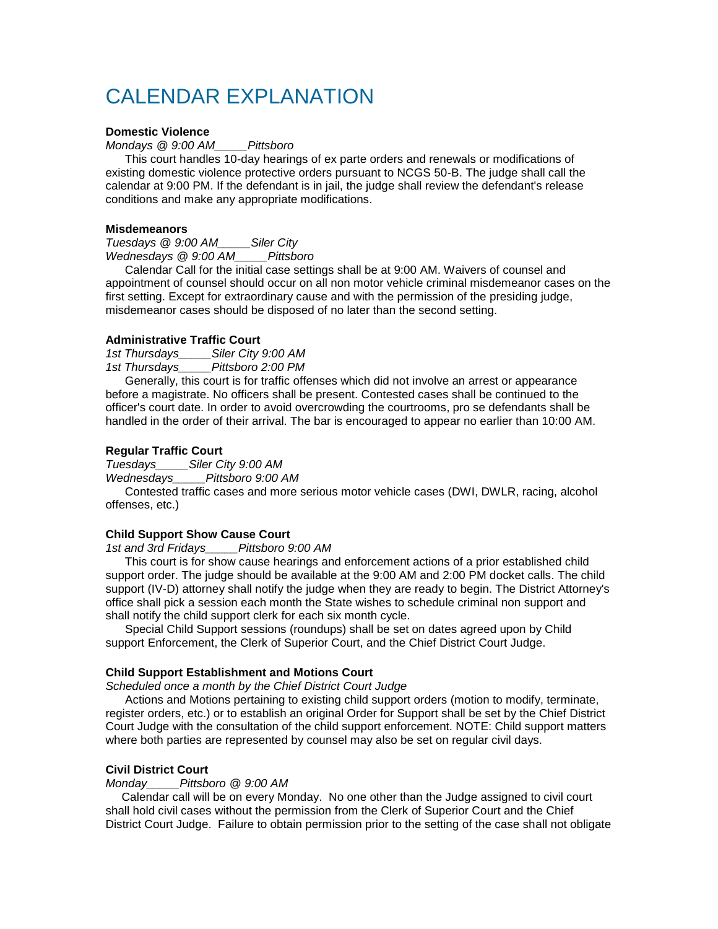# CALENDAR EXPLANATION

## **Domestic Violence**

*Mondays @ 9:00 AM\_\_\_\_\_Pittsboro*

 This court handles 10-day hearings of ex parte orders and renewals or modifications of existing domestic violence protective orders pursuant to NCGS 50-B. The judge shall call the calendar at 9:00 PM. If the defendant is in jail, the judge shall review the defendant's release conditions and make any appropriate modifications.

#### **Misdemeanors**

*Tuesdays @ 9:00 AM\_\_\_\_\_Siler City Wednesdays @ 9:00 AM\_\_\_\_\_Pittsboro*

 Calendar Call for the initial case settings shall be at 9:00 AM. Waivers of counsel and appointment of counsel should occur on all non motor vehicle criminal misdemeanor cases on the first setting. Except for extraordinary cause and with the permission of the presiding judge, misdemeanor cases should be disposed of no later than the second setting.

#### **Administrative Traffic Court**

*1st Thursdays\_\_\_\_\_Siler City 9:00 AM* 

*1st Thursdays\_\_\_\_\_Pittsboro 2:00 PM*

 Generally, this court is for traffic offenses which did not involve an arrest or appearance before a magistrate. No officers shall be present. Contested cases shall be continued to the officer's court date. In order to avoid overcrowding the courtrooms, pro se defendants shall be handled in the order of their arrival. The bar is encouraged to appear no earlier than 10:00 AM.

#### **Regular Traffic Court**

*Tuesdays\_\_\_\_\_Siler City 9:00 AM* 

*Wednesdays\_\_\_\_\_Pittsboro 9:00 AM*

 Contested traffic cases and more serious motor vehicle cases (DWI, DWLR, racing, alcohol offenses, etc.)

### **Child Support Show Cause Court**

*1st and 3rd Fridays\_\_\_\_\_Pittsboro 9:00 AM*

 This court is for show cause hearings and enforcement actions of a prior established child support order. The judge should be available at the 9:00 AM and 2:00 PM docket calls. The child support (IV-D) attorney shall notify the judge when they are ready to begin. The District Attorney's office shall pick a session each month the State wishes to schedule criminal non support and shall notify the child support clerk for each six month cycle.

 Special Child Support sessions (roundups) shall be set on dates agreed upon by Child support Enforcement, the Clerk of Superior Court, and the Chief District Court Judge.

## **Child Support Establishment and Motions Court**

*Scheduled once a month by the Chief District Court Judge*

 Actions and Motions pertaining to existing child support orders (motion to modify, terminate, register orders, etc.) or to establish an original Order for Support shall be set by the Chief District Court Judge with the consultation of the child support enforcement. NOTE: Child support matters where both parties are represented by counsel may also be set on regular civil days.

## **Civil District Court**

*Monday\_\_\_\_\_Pittsboro @ 9:00 AM*

 Calendar call will be on every Monday. No one other than the Judge assigned to civil court shall hold civil cases without the permission from the Clerk of Superior Court and the Chief District Court Judge. Failure to obtain permission prior to the setting of the case shall not obligate